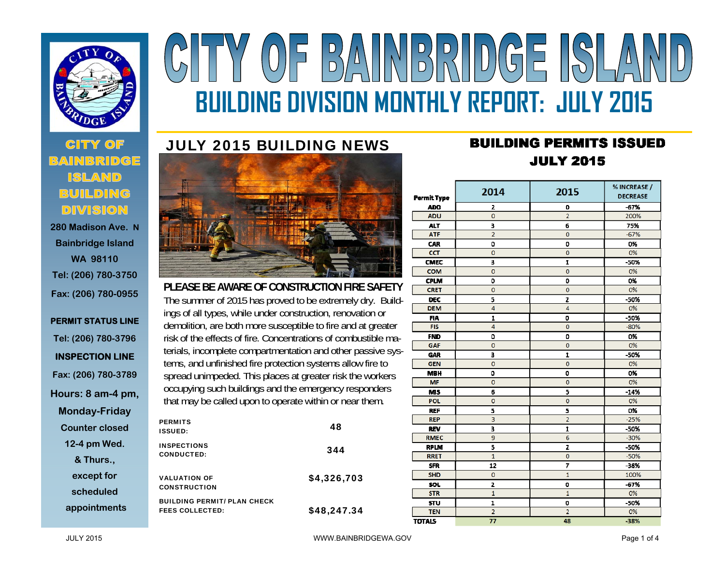

 **280 Madison Ave. NBainbridge Island WA 98110 Tel: (206) 780-3750 Fax: (206) 780-0955** 

## **PERMIT STATUS LINE Tel: (206) 780-3796 INSPECTION LINE Fax: (206) 780-3789 Hours: 8 am-4 pm, Monday-Friday Counter closed 12-4 pm Wed. & Thurs., except for scheduled appointments**

# Y OF BAINBRIDGE SLA **BUILDING DIVISION MONTHLY REPORT: JULY 2015**

# JULY 2015 BUILDING NEWS



**PLEASE BE AWARE OF CONSTRUCTION FIRE SAFETY** The summer of 2015 has proved to be extremely dry. Buildings of all types, while under construction, renovation or demolition, are both more susceptible to fire and at greater risk of the effects of fire. Concentrations of combustible materials, incomplete compartmentation and other passive systems, and unfinished fire protection systems allow fire to spread unimpeded. This places at greater risk the workers occupying such buildings and the emergency responders that may be called upon to operate within or near them.

| <b>PERMITS</b><br><b>ISSUED:</b>                             | 48          |
|--------------------------------------------------------------|-------------|
| <b>INSPECTIONS</b><br><b>CONDUCTED:</b>                      | 344         |
| <b>VALUATION OF</b><br><b>CONSTRUCTION</b>                   | \$4,326,703 |
| <b>BUILDING PERMIT/ PLAN CHECK</b><br><b>FEES COLLECTED:</b> | \$48,247.34 |

# **BUILDING PERMITS ISSUED JULY 2015**

| <b>Permit Type</b> | 2014                    | 2015                | % INCREASE /<br><b>DECREASE</b> |
|--------------------|-------------------------|---------------------|---------------------------------|
| <b>ADD</b>         | 2                       | 0                   | $-67%$                          |
| <b>ADU</b>         | $\overline{0}$          | $\overline{2}$      | 200%                            |
| <b>ALT</b>         | $\overline{\mathbf{3}}$ | 6                   | 75%                             |
| <b>ATF</b>         | $\overline{2}$          | $\bf{0}$            | $-67%$                          |
| CAR                | o                       | 0                   | 0%                              |
| <b>CCT</b>         | $\mathbf 0$             | $\ddot{\mathbf{O}}$ | 0%                              |
| <b>CMEC</b>        | 3                       | 1                   | -50%                            |
| <b>COM</b>         | $\mathbf 0$             | $\bf{0}$            | 0%                              |
| <b>CPLM</b>        | O                       | 0                   | 0%                              |
| <b>CRET</b>        | $\mathbf 0$             | $\bf{O}$            | 0%                              |
| <b>DEC</b>         | 5                       | z                   | $-50%$                          |
| <b>DEM</b>         | 4                       | 4                   | 0%                              |
| <b>FIA</b>         | 1                       | 0                   | -50%                            |
| <b>FIS</b>         | 4                       | $\mathbf 0$         | $-80%$                          |
| <b>FND</b>         | O                       | 0                   | 0%                              |
| GAF                | $\overline{0}$          | $\overline{0}$      | 0%                              |
| <b>GAR</b>         | 3                       | 1                   | -50%                            |
| <b>GEN</b>         | $\overline{O}$          | $\overline{O}$      | 0%                              |
| <b>MBH</b>         | $\mathbf 0$             | $\mathbf 0$         | 0%                              |
| <b>MF</b>          | $\overline{0}$          | $\mathbf 0$         | 0%                              |
| <b>MS</b>          | 6                       | 5                   | $-14%$                          |
| POL.               | $\overline{0}$          | $\overline{0}$      | 0%                              |
| <b>REF</b>         | 5                       | 5                   | 0%                              |
| <b>REP</b>         | 3                       | $\overline{2}$      | $-25%$                          |
| <b>REV</b>         | $\overline{\mathbf{3}}$ | $\mathbf{r}$        | $-50%$                          |
| <b>RMEC</b>        | 9                       | 6                   | $-30%$                          |
| <b>RPLM</b>        | 5                       | z                   | -50%                            |
| <b>RRET</b>        | $\overline{1}$          | $\overline{O}$      | $-50%$                          |
| <b>SFR</b>         | 12                      | 7                   | $-38%$                          |
| <b>SHD</b>         | $\overline{0}$          | $\overline{1}$      | 100%                            |
| <b>SOL</b>         | $\overline{z}$          | o                   | $-67%$                          |
| <b>STR</b>         | $\overline{1}$          | $\overline{1}$      | 0%                              |
| <b>STU</b>         | $\mathbf{I}$            | o                   | $-50%$                          |
| <b>TEN</b>         | $\overline{2}$          | $\overline{2}$      | 0%                              |
| <b>TOTALS</b>      | 77                      | 48                  | -38%                            |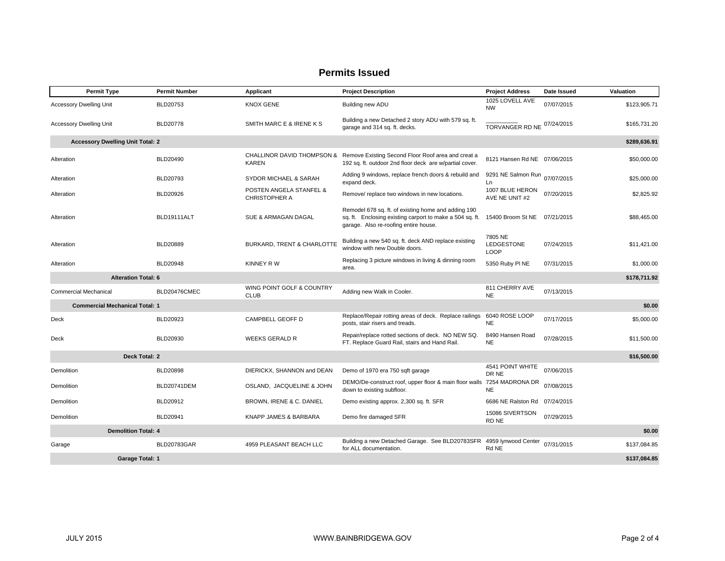### **Permits Issued**

| <b>Permit Type</b>                      | <b>Permit Number</b>                   | Applicant                                       | <b>Project Description</b>                                                                                                                               | <b>Project Address</b>                      | Date Issued | Valuation    |  |
|-----------------------------------------|----------------------------------------|-------------------------------------------------|----------------------------------------------------------------------------------------------------------------------------------------------------------|---------------------------------------------|-------------|--------------|--|
| <b>Accessory Dwelling Unit</b>          | BLD20753                               | <b>KNOX GENE</b>                                | Building new ADU                                                                                                                                         | 1025 LOVELL AVE<br><b>NW</b>                | 07/07/2015  | \$123,905.71 |  |
| <b>Accessory Dwelling Unit</b>          | <b>BLD20778</b>                        | SMITH MARC E & IRENE K S                        | Building a new Detached 2 story ADU with 579 sq. ft.<br>garage and 314 sq. ft. decks.                                                                    | TORVANGER RD NE                             | 07/24/2015  | \$165,731.20 |  |
| <b>Accessory Dwelling Unit Total: 2</b> |                                        |                                                 |                                                                                                                                                          |                                             |             | \$289,636.91 |  |
| Alteration                              | <b>BLD20490</b>                        | <b>KAREN</b>                                    | CHALLINOR DAVID THOMPSON & Remove Existing Second Floor Roof area and creat a<br>192 sq. ft. outdoor 2nd floor deck are w/partial cover.                 | 8121 Hansen Rd NE 07/06/2015                |             | \$50,000.00  |  |
| Alteration                              | BLD20793                               | SYDOR MICHAEL & SARAH                           | Adding 9 windows, replace french doors & rebuild and<br>expand deck.                                                                                     | 9291 NE Salmon Run<br>Ln                    | 07/07/2015  | \$25,000.00  |  |
| Alteration                              | <b>BLD20926</b>                        | POSTEN ANGELA STANFEL &<br><b>CHRISTOPHER A</b> | Remove/ replace two windows in new locations.                                                                                                            | 1007 BLUE HERON<br>AVE NE UNIT #2           | 07/20/2015  | \$2,825.92   |  |
| Alteration                              | BLD19111ALT                            | SUE & ARMAGAN DAGAL                             | Remodel 678 sq. ft. of existing home and adding 190<br>sq. ft. Enclosing existing carport to make a 504 sq. ft.<br>garage. Also re-roofing entire house. | 15400 Broom St NE                           | 07/21/2015  | \$88,465.00  |  |
| Alteration                              | <b>BLD20889</b>                        | BURKARD, TRENT & CHARLOTTE                      | Building a new 540 sq. ft. deck AND replace existing<br>window with new Double doors.                                                                    | 7805 NE<br><b>LEDGESTONE</b><br><b>LOOP</b> | 07/24/2015  | \$11,421.00  |  |
| Alteration                              | BLD20948                               | <b>KINNEY RW</b>                                | Replacing 3 picture windows in living & dinning room<br>area.                                                                                            | 5350 Ruby PI NE                             | 07/31/2015  | \$1,000.00   |  |
| <b>Alteration Total: 6</b>              |                                        |                                                 |                                                                                                                                                          |                                             |             | \$178,711.92 |  |
| <b>Commercial Mechanical</b>            | BLD20476CMEC                           | WING POINT GOLF & COUNTRY<br><b>CLUB</b>        | Adding new Walk in Cooler.                                                                                                                               | 811 CHERRY AVE<br><b>NE</b>                 | 07/13/2015  |              |  |
| <b>Commercial Mechanical Total: 1</b>   |                                        |                                                 |                                                                                                                                                          |                                             |             | \$0.00       |  |
| Deck                                    | BLD20923                               | CAMPBELL GEOFF D                                | Replace/Repair rotting areas of deck. Replace railings<br>posts, stair risers and treads.                                                                | 6040 ROSE LOOP<br><b>NE</b>                 | 07/17/2015  | \$5,000.00   |  |
| Deck                                    | BLD20930                               | <b>WEEKS GERALD R</b>                           | Repair/replace rotted sections of deck. NO NEW SQ.<br>FT. Replace Guard Rail, stairs and Hand Rail.                                                      | 8490 Hansen Road<br><b>NE</b>               | 07/28/2015  | \$11,500.00  |  |
| Deck Total: 2<br>\$16,500.00            |                                        |                                                 |                                                                                                                                                          |                                             |             |              |  |
| Demolition                              | <b>BLD20898</b>                        | DIERICKX, SHANNON and DEAN                      | Demo of 1970 era 750 sqft garage                                                                                                                         | 4541 POINT WHITE<br>DR NE                   | 07/06/2015  |              |  |
| Demolition                              | BLD20741DEM                            | OSLAND, JACQUELINE & JOHN                       | DEMO/De-construct roof, upper floor & main floor walls<br>down to existing subfloor.                                                                     | 7254 MADRONA DR<br><b>NE</b>                | 07/08/2015  |              |  |
| Demolition                              | BLD20912                               | BROWN, IRENE & C. DANIEL                        | Demo existing approx. 2,300 sq. ft. SFR                                                                                                                  | 6686 NE Ralston Rd 07/24/2015               |             |              |  |
| Demolition                              | BLD20941                               | KNAPP JAMES & BARBARA                           | Demo fire damaged SFR                                                                                                                                    | 15086 SIVERTSON<br>RD NE                    | 07/29/2015  |              |  |
| <b>Demolition Total: 4</b>              |                                        |                                                 |                                                                                                                                                          |                                             |             | \$0.00       |  |
| Garage                                  | BLD20783GAR                            | 4959 PLEASANT BEACH LLC                         | Building a new Detached Garage. See BLD20783SFR 4959 lynwood Center<br>for ALL documentation.                                                            | Rd NE                                       | 07/31/2015  | \$137,084.85 |  |
|                                         | <b>Garage Total: 1</b><br>\$137,084.85 |                                                 |                                                                                                                                                          |                                             |             |              |  |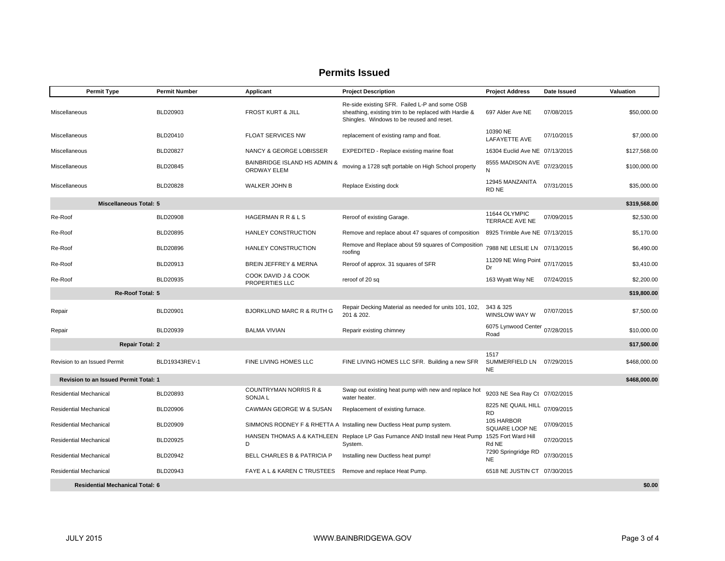#### **Permits Issued**

| <b>Permit Type</b>                           | <b>Permit Number</b>                             | Applicant                                          | <b>Project Description</b>                                                                                                                          | <b>Project Address</b>                         | Date Issued | Valuation    |  |
|----------------------------------------------|--------------------------------------------------|----------------------------------------------------|-----------------------------------------------------------------------------------------------------------------------------------------------------|------------------------------------------------|-------------|--------------|--|
| Miscellaneous                                | BLD20903                                         | <b>FROST KURT &amp; JILL</b>                       | Re-side existing SFR. Failed L-P and some OSB<br>sheathing, existing trim to be replaced with Hardie &<br>Shingles. Windows to be reused and reset. | 697 Alder Ave NE                               | 07/08/2015  | \$50,000.00  |  |
| Miscellaneous                                | BLD20410                                         | <b>FLOAT SERVICES NW</b>                           | replacement of existing ramp and float.                                                                                                             | 10390 NE<br><b>LAFAYETTE AVE</b>               | 07/10/2015  | \$7,000.00   |  |
| Miscellaneous                                | <b>BLD20827</b>                                  | NANCY & GEORGE LOBISSER                            | EXPEDITED - Replace existing marine float                                                                                                           | 16304 Euclid Ave NE 07/13/2015                 |             | \$127,568.00 |  |
| Miscellaneous                                | BLD20845                                         | BAINBRIDGE ISLAND HS ADMIN &<br><b>ORDWAY ELEM</b> | moving a 1728 sqft portable on High School property                                                                                                 | 8555 MADISON AVE                               | 07/23/2015  | \$100,000.00 |  |
| Miscellaneous                                | <b>BLD20828</b>                                  | <b>WALKER JOHN B</b>                               | Replace Existing dock                                                                                                                               | 12945 MANZANITA<br>RD NE                       | 07/31/2015  | \$35,000.00  |  |
| <b>Miscellaneous Total: 5</b>                |                                                  |                                                    |                                                                                                                                                     |                                                |             | \$319,568.00 |  |
| Re-Roof                                      | <b>BLD20908</b>                                  | HAGERMAN R R & L S                                 | Reroof of existing Garage.                                                                                                                          | 11644 OLYMPIC<br><b>TERRACE AVE NE</b>         | 07/09/2015  | \$2,530.00   |  |
| Re-Roof                                      | BLD20895                                         | HANLEY CONSTRUCTION                                | Remove and replace about 47 squares of composition                                                                                                  | 8925 Trimble Ave NE 07/13/2015                 |             | \$5,170.00   |  |
| Re-Roof                                      | <b>BLD20896</b>                                  | HANLEY CONSTRUCTION                                | Remove and Replace about 59 squares of Composition<br>roofing                                                                                       | 7988 NE LESLIE LN 07/13/2015                   |             | \$6,490.00   |  |
| Re-Roof                                      | BLD20913                                         | BREIN JEFFREY & MERNA                              | Reroof of approx. 31 squares of SFR                                                                                                                 | 11209 NE Wing Point 07/17/2015<br>Dr           |             | \$3,410.00   |  |
| Re-Roof                                      | BLD20935                                         | COOK DAVID J & COOK<br>PROPERTIES LLC              | reroof of 20 sq                                                                                                                                     | 163 Wyatt Way NE                               | 07/24/2015  | \$2,200.00   |  |
| Re-Roof Total: 5                             |                                                  |                                                    |                                                                                                                                                     |                                                |             | \$19,800.00  |  |
| Repair                                       | BLD20901                                         | <b>BJORKLUND MARC R &amp; RUTH G</b>               | Repair Decking Material as needed for units 101, 102,<br>201 & 202.                                                                                 | 343 & 325<br>WINSLOW WAY W                     | 07/07/2015  | \$7,500.00   |  |
| Repair                                       | BLD20939                                         | <b>BALMA VIVIAN</b>                                | Reparir existing chimney                                                                                                                            | 6075 Lynwood Center<br>Road                    | 07/28/2015  | \$10,000.00  |  |
| <b>Repair Total: 2</b>                       |                                                  |                                                    |                                                                                                                                                     |                                                |             | \$17,500.00  |  |
| Revision to an Issued Permit                 | BLD19343REV-1                                    | FINE LIVING HOMES LLC                              | FINE LIVING HOMES LLC SFR. Building a new SFR                                                                                                       | 1517<br>SUMMERFIELD LN 07/29/2015<br><b>NE</b> |             | \$468,000.00 |  |
| <b>Revision to an Issued Permit Total: 1</b> |                                                  |                                                    |                                                                                                                                                     |                                                |             | \$468,000.00 |  |
| Residential Mechanical                       | BLD20893                                         | <b>COUNTRYMAN NORRIS R &amp;</b><br><b>SONJAL</b>  | Swap out existing heat pump with new and replace hot<br>water heater.                                                                               | 9203 NE Sea Ray Ct 07/02/2015                  |             |              |  |
| <b>Residential Mechanical</b>                | <b>BLD20906</b>                                  | CAWMAN GEORGE W & SUSAN                            | Replacement of existing furnace.                                                                                                                    | 8225 NE QUAIL HILL 07/09/2015<br><b>RD</b>     |             |              |  |
| Residential Mechanical                       | BLD20909                                         |                                                    | SIMMONS RODNEY F & RHETTA A Installing new Ductless Heat pump system.                                                                               | 105 HARBOR<br>SQUARE LOOP NE                   | 07/09/2015  |              |  |
| Residential Mechanical                       | BLD20925                                         | D                                                  | HANSEN THOMAS A & KATHLEEN Replace LP Gas Furnance AND Install new Heat Pump<br>System.                                                             | 1525 Fort Ward Hill<br>Rd NE                   | 07/20/2015  |              |  |
| Residential Mechanical                       | BLD20942                                         | <b>BELL CHARLES B &amp; PATRICIA P</b>             | Installing new Ductless heat pump!                                                                                                                  | 7290 Springridge RD<br><b>NE</b>               | 07/30/2015  |              |  |
| <b>Residential Mechanical</b>                | BLD20943                                         | FAYE A L & KAREN C TRUSTEES                        | Remove and replace Heat Pump.                                                                                                                       | 6518 NE JUSTIN CT 07/30/2015                   |             |              |  |
|                                              | \$0.00<br><b>Residential Mechanical Total: 6</b> |                                                    |                                                                                                                                                     |                                                |             |              |  |